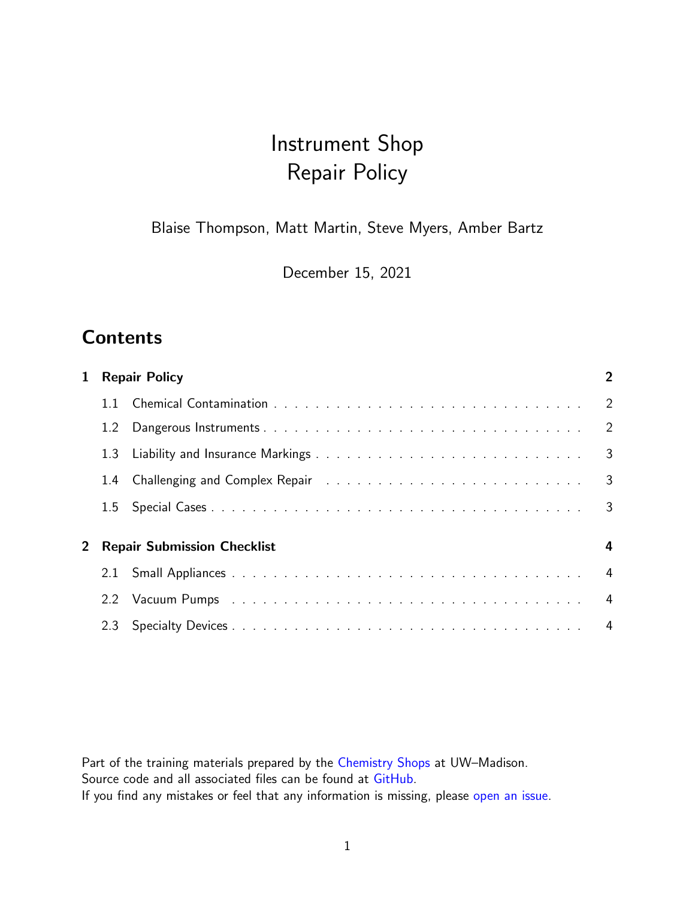# Instrument Shop Repair Policy

Blaise Thompson, Matt Martin, Steve Myers, Amber Bartz

December 15, 2021

### **Contents**

| 1<br><b>Repair Policy</b>               |     |                                                                                                                | $\overline{2}$ |
|-----------------------------------------|-----|----------------------------------------------------------------------------------------------------------------|----------------|
|                                         | 11  |                                                                                                                | $\overline{2}$ |
|                                         | 1.2 |                                                                                                                | 2              |
|                                         |     |                                                                                                                | $\mathbf{3}$   |
|                                         | 1.4 | Challenging and Complex Repair (Alberta Alberta Alberta Alberta Alberta Alberta Alberta Alberta Alberta Albert | 3              |
|                                         |     |                                                                                                                | 3              |
| 2<br><b>Repair Submission Checklist</b> |     | 4                                                                                                              |                |
|                                         | 2.1 |                                                                                                                | $\overline{4}$ |
|                                         |     |                                                                                                                | $\overline{4}$ |
|                                         | 2.3 |                                                                                                                |                |

Part of the training materials prepared by the [Chemistry Shops](https://shops.chem.wisc.edu/) at UW–Madison. Source code and all associated files can be found at [GitHub.](https://github.com/uw-madison-chem-shops/training) If you find any mistakes or feel that any information is missing, please [open an issue.](https://github.com/uw-madison-chem-shops/training/issues)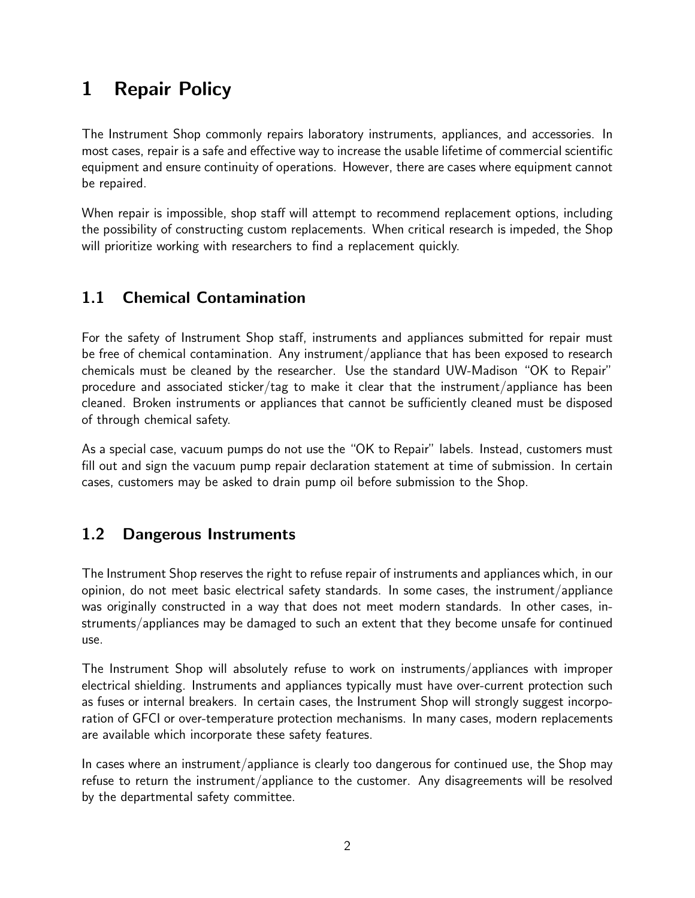# <span id="page-1-0"></span>1 Repair Policy

The Instrument Shop commonly repairs laboratory instruments, appliances, and accessories. In most cases, repair is a safe and effective way to increase the usable lifetime of commercial scientific equipment and ensure continuity of operations. However, there are cases where equipment cannot be repaired.

When repair is impossible, shop staff will attempt to recommend replacement options, including the possibility of constructing custom replacements. When critical research is impeded, the Shop will prioritize working with researchers to find a replacement quickly.

#### <span id="page-1-1"></span>1.1 Chemical Contamination

For the safety of Instrument Shop staff, instruments and appliances submitted for repair must be free of chemical contamination. Any instrument/appliance that has been exposed to research chemicals must be cleaned by the researcher. Use the standard UW-Madison "OK to Repair" procedure and associated sticker/tag to make it clear that the instrument/appliance has been cleaned. Broken instruments or appliances that cannot be sufficiently cleaned must be disposed of through chemical safety.

As a special case, vacuum pumps do not use the "OK to Repair" labels. Instead, customers must fill out and sign the vacuum pump repair declaration statement at time of submission. In certain cases, customers may be asked to drain pump oil before submission to the Shop.

#### <span id="page-1-2"></span>1.2 Dangerous Instruments

The Instrument Shop reserves the right to refuse repair of instruments and appliances which, in our opinion, do not meet basic electrical safety standards. In some cases, the instrument/appliance was originally constructed in a way that does not meet modern standards. In other cases, instruments/appliances may be damaged to such an extent that they become unsafe for continued use.

The Instrument Shop will absolutely refuse to work on instruments/appliances with improper electrical shielding. Instruments and appliances typically must have over-current protection such as fuses or internal breakers. In certain cases, the Instrument Shop will strongly suggest incorporation of GFCI or over-temperature protection mechanisms. In many cases, modern replacements are available which incorporate these safety features.

In cases where an instrument/appliance is clearly too dangerous for continued use, the Shop may refuse to return the instrument/appliance to the customer. Any disagreements will be resolved by the departmental safety committee.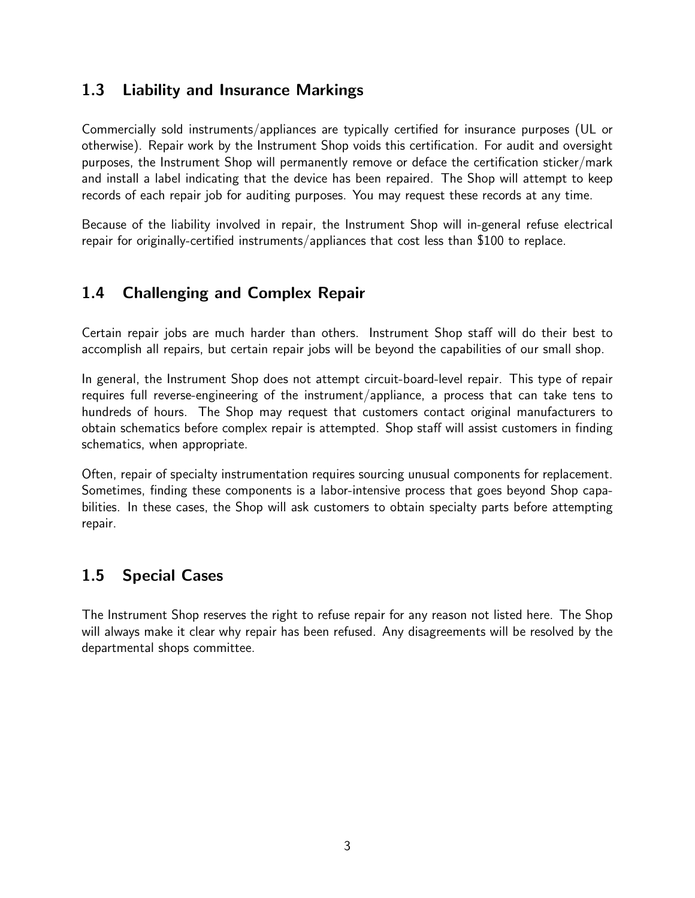#### <span id="page-2-0"></span>1.3 Liability and Insurance Markings

Commercially sold instruments/appliances are typically certified for insurance purposes (UL or otherwise). Repair work by the Instrument Shop voids this certification. For audit and oversight purposes, the Instrument Shop will permanently remove or deface the certification sticker/mark and install a label indicating that the device has been repaired. The Shop will attempt to keep records of each repair job for auditing purposes. You may request these records at any time.

Because of the liability involved in repair, the Instrument Shop will in-general refuse electrical repair for originally-certified instruments/appliances that cost less than \$100 to replace.

#### <span id="page-2-1"></span>1.4 Challenging and Complex Repair

Certain repair jobs are much harder than others. Instrument Shop staff will do their best to accomplish all repairs, but certain repair jobs will be beyond the capabilities of our small shop.

In general, the Instrument Shop does not attempt circuit-board-level repair. This type of repair requires full reverse-engineering of the instrument/appliance, a process that can take tens to hundreds of hours. The Shop may request that customers contact original manufacturers to obtain schematics before complex repair is attempted. Shop staff will assist customers in finding schematics, when appropriate.

Often, repair of specialty instrumentation requires sourcing unusual components for replacement. Sometimes, finding these components is a labor-intensive process that goes beyond Shop capabilities. In these cases, the Shop will ask customers to obtain specialty parts before attempting repair.

#### <span id="page-2-2"></span>1.5 Special Cases

The Instrument Shop reserves the right to refuse repair for any reason not listed here. The Shop will always make it clear why repair has been refused. Any disagreements will be resolved by the departmental shops committee.